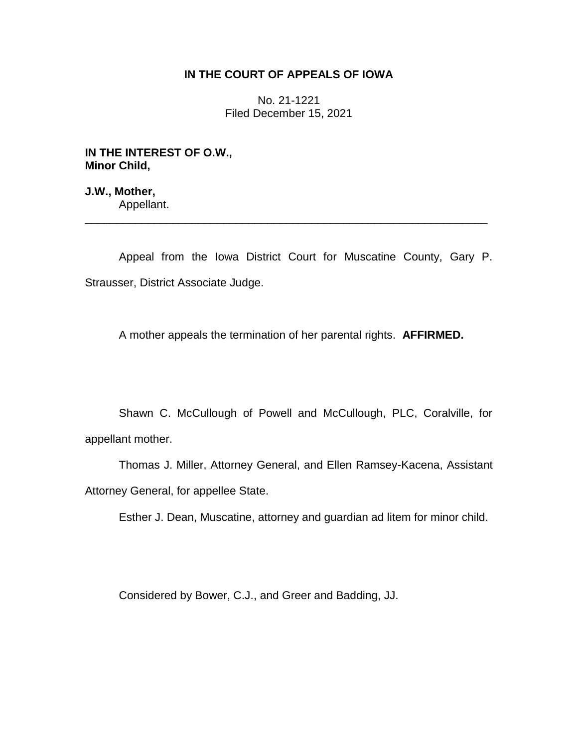## **IN THE COURT OF APPEALS OF IOWA**

No. 21-1221 Filed December 15, 2021

**IN THE INTEREST OF O.W., Minor Child,**

**J.W., Mother,** Appellant.

Appeal from the Iowa District Court for Muscatine County, Gary P. Strausser, District Associate Judge.

\_\_\_\_\_\_\_\_\_\_\_\_\_\_\_\_\_\_\_\_\_\_\_\_\_\_\_\_\_\_\_\_\_\_\_\_\_\_\_\_\_\_\_\_\_\_\_\_\_\_\_\_\_\_\_\_\_\_\_\_\_\_\_\_

A mother appeals the termination of her parental rights. **AFFIRMED.**

Shawn C. McCullough of Powell and McCullough, PLC, Coralville, for appellant mother.

Thomas J. Miller, Attorney General, and Ellen Ramsey-Kacena, Assistant Attorney General, for appellee State.

Esther J. Dean, Muscatine, attorney and guardian ad litem for minor child.

Considered by Bower, C.J., and Greer and Badding, JJ.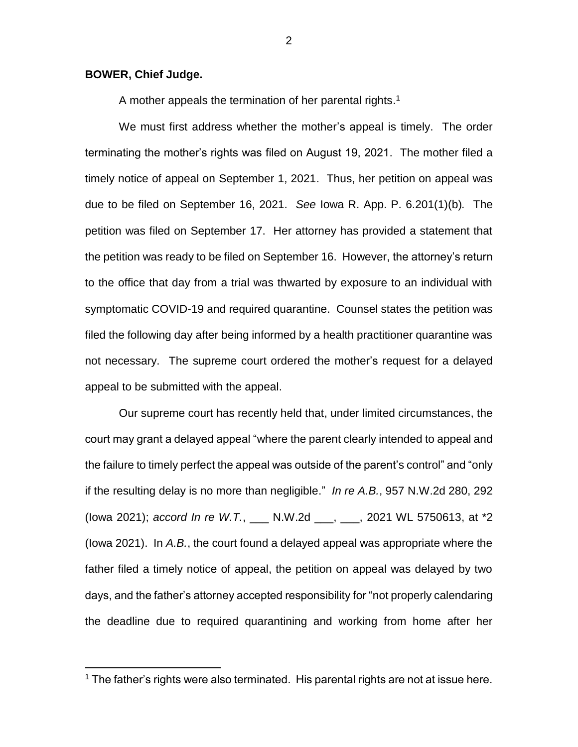## **BOWER, Chief Judge.**

 $\overline{a}$ 

A mother appeals the termination of her parental rights.<sup>1</sup>

We must first address whether the mother's appeal is timely. The order terminating the mother's rights was filed on August 19, 2021. The mother filed a timely notice of appeal on September 1, 2021. Thus, her petition on appeal was due to be filed on September 16, 2021. *See* Iowa R. App. P. 6.201(1)(b)*.* The petition was filed on September 17. Her attorney has provided a statement that the petition was ready to be filed on September 16. However, the attorney's return to the office that day from a trial was thwarted by exposure to an individual with symptomatic COVID-19 and required quarantine. Counsel states the petition was filed the following day after being informed by a health practitioner quarantine was not necessary. The supreme court ordered the mother's request for a delayed appeal to be submitted with the appeal.

Our supreme court has recently held that, under limited circumstances, the court may grant a delayed appeal "where the parent clearly intended to appeal and the failure to timely perfect the appeal was outside of the parent's control" and "only if the resulting delay is no more than negligible." *In re A.B.*, 957 N.W.2d 280, 292 (Iowa 2021); *accord In re W.T.*, \_\_\_ N.W.2d \_\_\_, \_\_\_, 2021 WL 5750613, at \*2 (Iowa 2021). In *A.B.*, the court found a delayed appeal was appropriate where the father filed a timely notice of appeal, the petition on appeal was delayed by two days, and the father's attorney accepted responsibility for "not properly calendaring the deadline due to required quarantining and working from home after her

<sup>&</sup>lt;sup>1</sup> The father's rights were also terminated. His parental rights are not at issue here.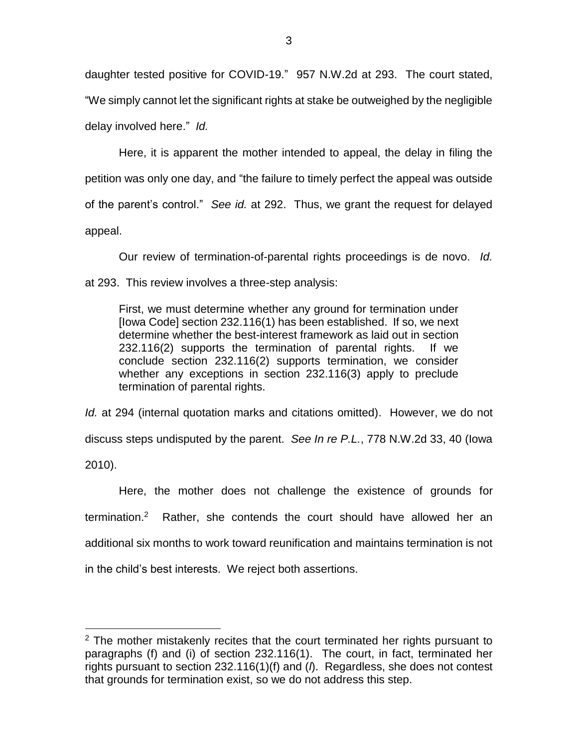daughter tested positive for COVID-19." 957 N.W.2d at 293. The court stated, "We simply cannot let the significant rights at stake be outweighed by the negligible delay involved here." *Id.* 

Here, it is apparent the mother intended to appeal, the delay in filing the petition was only one day, and "the failure to timely perfect the appeal was outside of the parent's control." *See id.* at 292. Thus, we grant the request for delayed appeal.

Our review of termination-of-parental rights proceedings is de novo. *Id.* at 293. This review involves a three-step analysis:

First, we must determine whether any ground for termination under [Iowa Code] section 232.116(1) has been established. If so, we next determine whether the best-interest framework as laid out in section 232.116(2) supports the termination of parental rights. If we conclude section 232.116(2) supports termination, we consider whether any exceptions in section 232.116(3) apply to preclude termination of parental rights.

*Id.* at 294 (internal quotation marks and citations omitted). However, we do not discuss steps undisputed by the parent. *See In re P.L.*, 778 N.W.2d 33, 40 (Iowa 2010).

Here, the mother does not challenge the existence of grounds for termination.<sup>2</sup> Rather, she contends the court should have allowed her an additional six months to work toward reunification and maintains termination is not in the child's best interests. We reject both assertions.

 $\overline{a}$ 

 $2$  The mother mistakenly recites that the court terminated her rights pursuant to paragraphs (f) and (i) of section 232.116(1). The court, in fact, terminated her rights pursuant to section 232.116(1)(f) and (*l*). Regardless, she does not contest that grounds for termination exist, so we do not address this step.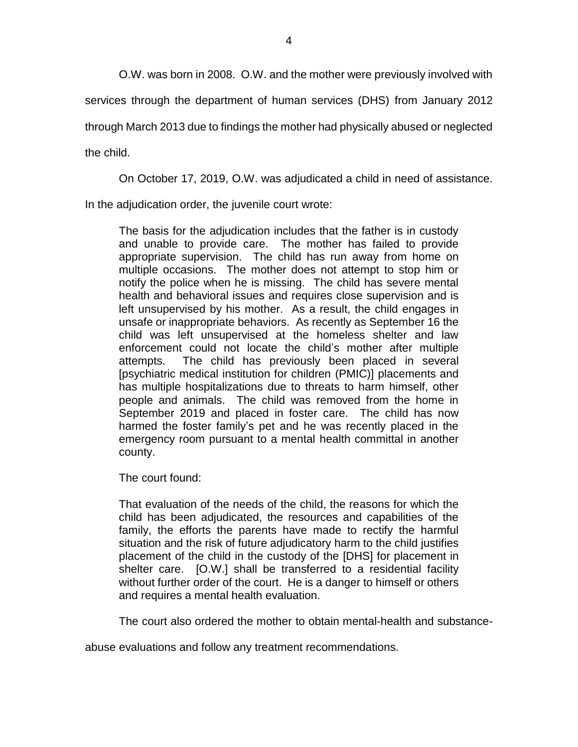O.W. was born in 2008. O.W. and the mother were previously involved with

services through the department of human services (DHS) from January 2012

through March 2013 due to findings the mother had physically abused or neglected

the child.

On October 17, 2019, O.W. was adjudicated a child in need of assistance.

In the adjudication order, the juvenile court wrote:

The basis for the adjudication includes that the father is in custody and unable to provide care. The mother has failed to provide appropriate supervision. The child has run away from home on multiple occasions. The mother does not attempt to stop him or notify the police when he is missing. The child has severe mental health and behavioral issues and requires close supervision and is left unsupervised by his mother. As a result, the child engages in unsafe or inappropriate behaviors. As recently as September 16 the child was left unsupervised at the homeless shelter and law enforcement could not locate the child's mother after multiple attempts. The child has previously been placed in several [psychiatric medical institution for children (PMIC)] placements and has multiple hospitalizations due to threats to harm himself, other people and animals. The child was removed from the home in September 2019 and placed in foster care. The child has now harmed the foster family's pet and he was recently placed in the emergency room pursuant to a mental health committal in another county.

The court found:

That evaluation of the needs of the child, the reasons for which the child has been adjudicated, the resources and capabilities of the family, the efforts the parents have made to rectify the harmful situation and the risk of future adjudicatory harm to the child justifies placement of the child in the custody of the [DHS] for placement in shelter care. [O.W.] shall be transferred to a residential facility without further order of the court. He is a danger to himself or others and requires a mental health evaluation.

The court also ordered the mother to obtain mental-health and substance-

abuse evaluations and follow any treatment recommendations.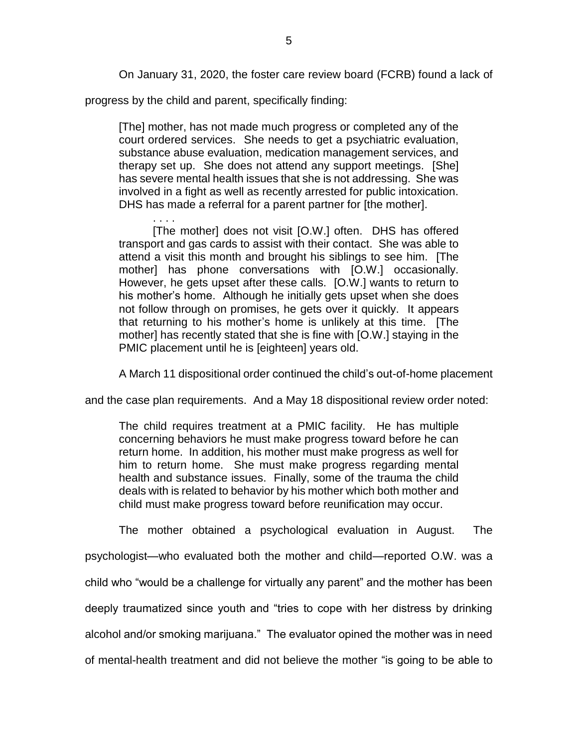On January 31, 2020, the foster care review board (FCRB) found a lack of

progress by the child and parent, specifically finding:

[The] mother, has not made much progress or completed any of the court ordered services. She needs to get a psychiatric evaluation, substance abuse evaluation, medication management services, and therapy set up. She does not attend any support meetings. [She] has severe mental health issues that she is not addressing. She was involved in a fight as well as recently arrested for public intoxication. DHS has made a referral for a parent partner for [the mother].

. . . . [The mother] does not visit [O.W.] often. DHS has offered transport and gas cards to assist with their contact. She was able to attend a visit this month and brought his siblings to see him. [The mother] has phone conversations with [O.W.] occasionally. However, he gets upset after these calls. [O.W.] wants to return to his mother's home. Although he initially gets upset when she does not follow through on promises, he gets over it quickly. It appears that returning to his mother's home is unlikely at this time. [The mother] has recently stated that she is fine with [O.W.] staying in the PMIC placement until he is [eighteen] years old.

A March 11 dispositional order continued the child's out-of-home placement

and the case plan requirements. And a May 18 dispositional review order noted:

The child requires treatment at a PMIC facility. He has multiple concerning behaviors he must make progress toward before he can return home. In addition, his mother must make progress as well for him to return home. She must make progress regarding mental health and substance issues. Finally, some of the trauma the child deals with is related to behavior by his mother which both mother and child must make progress toward before reunification may occur.

The mother obtained a psychological evaluation in August. The

psychologist—who evaluated both the mother and child—reported O.W. was a child who "would be a challenge for virtually any parent" and the mother has been deeply traumatized since youth and "tries to cope with her distress by drinking alcohol and/or smoking marijuana." The evaluator opined the mother was in need of mental-health treatment and did not believe the mother "is going to be able to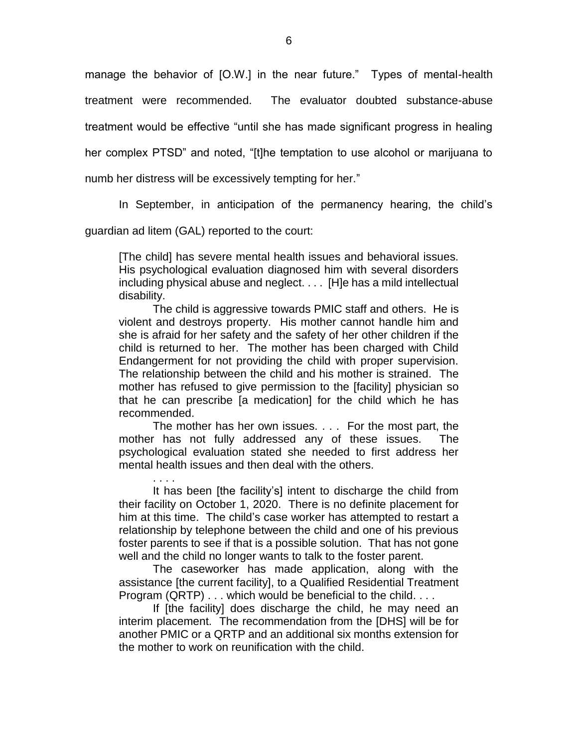manage the behavior of [O.W.] in the near future." Types of mental-health treatment were recommended. The evaluator doubted substance-abuse treatment would be effective "until she has made significant progress in healing her complex PTSD" and noted, "[t]he temptation to use alcohol or marijuana to numb her distress will be excessively tempting for her."

In September, in anticipation of the permanency hearing, the child's

guardian ad litem (GAL) reported to the court:

. . . .

[The child] has severe mental health issues and behavioral issues. His psychological evaluation diagnosed him with several disorders including physical abuse and neglect. . . . [H]e has a mild intellectual disability.

The child is aggressive towards PMIC staff and others. He is violent and destroys property. His mother cannot handle him and she is afraid for her safety and the safety of her other children if the child is returned to her. The mother has been charged with Child Endangerment for not providing the child with proper supervision. The relationship between the child and his mother is strained. The mother has refused to give permission to the [facility] physician so that he can prescribe [a medication] for the child which he has recommended.

The mother has her own issues. . . . For the most part, the mother has not fully addressed any of these issues. The psychological evaluation stated she needed to first address her mental health issues and then deal with the others.

It has been [the facility's] intent to discharge the child from their facility on October 1, 2020. There is no definite placement for him at this time. The child's case worker has attempted to restart a relationship by telephone between the child and one of his previous foster parents to see if that is a possible solution. That has not gone well and the child no longer wants to talk to the foster parent.

The caseworker has made application, along with the assistance [the current facility], to a Qualified Residential Treatment Program (QRTP) . . . which would be beneficial to the child. . . .

If [the facility] does discharge the child, he may need an interim placement. The recommendation from the [DHS] will be for another PMIC or a QRTP and an additional six months extension for the mother to work on reunification with the child.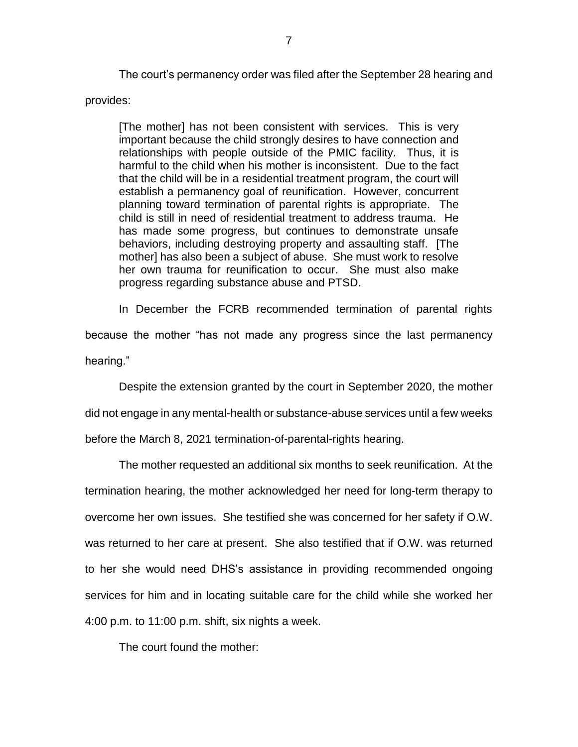The court's permanency order was filed after the September 28 hearing and provides:

[The mother] has not been consistent with services. This is very important because the child strongly desires to have connection and relationships with people outside of the PMIC facility. Thus, it is harmful to the child when his mother is inconsistent. Due to the fact that the child will be in a residential treatment program, the court will establish a permanency goal of reunification. However, concurrent planning toward termination of parental rights is appropriate. The child is still in need of residential treatment to address trauma. He has made some progress, but continues to demonstrate unsafe behaviors, including destroying property and assaulting staff. [The mother] has also been a subject of abuse. She must work to resolve her own trauma for reunification to occur. She must also make progress regarding substance abuse and PTSD.

In December the FCRB recommended termination of parental rights because the mother "has not made any progress since the last permanency hearing."

Despite the extension granted by the court in September 2020, the mother did not engage in any mental-health or substance-abuse services until a few weeks before the March 8, 2021 termination-of-parental-rights hearing.

The mother requested an additional six months to seek reunification. At the termination hearing, the mother acknowledged her need for long-term therapy to overcome her own issues. She testified she was concerned for her safety if O.W. was returned to her care at present. She also testified that if O.W. was returned to her she would need DHS's assistance in providing recommended ongoing services for him and in locating suitable care for the child while she worked her 4:00 p.m. to 11:00 p.m. shift, six nights a week.

The court found the mother: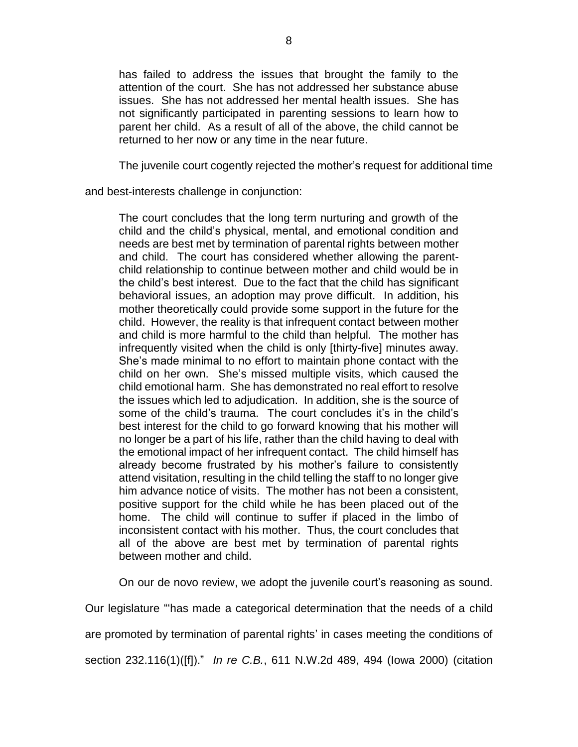has failed to address the issues that brought the family to the attention of the court. She has not addressed her substance abuse issues. She has not addressed her mental health issues. She has not significantly participated in parenting sessions to learn how to parent her child. As a result of all of the above, the child cannot be returned to her now or any time in the near future.

The juvenile court cogently rejected the mother's request for additional time

and best-interests challenge in conjunction:

The court concludes that the long term nurturing and growth of the child and the child's physical, mental, and emotional condition and needs are best met by termination of parental rights between mother and child. The court has considered whether allowing the parentchild relationship to continue between mother and child would be in the child's best interest. Due to the fact that the child has significant behavioral issues, an adoption may prove difficult. In addition, his mother theoretically could provide some support in the future for the child. However, the reality is that infrequent contact between mother and child is more harmful to the child than helpful. The mother has infrequently visited when the child is only [thirty-five] minutes away. She's made minimal to no effort to maintain phone contact with the child on her own. She's missed multiple visits, which caused the child emotional harm. She has demonstrated no real effort to resolve the issues which led to adjudication. In addition, she is the source of some of the child's trauma. The court concludes it's in the child's best interest for the child to go forward knowing that his mother will no longer be a part of his life, rather than the child having to deal with the emotional impact of her infrequent contact. The child himself has already become frustrated by his mother's failure to consistently attend visitation, resulting in the child telling the staff to no longer give him advance notice of visits. The mother has not been a consistent, positive support for the child while he has been placed out of the home. The child will continue to suffer if placed in the limbo of inconsistent contact with his mother. Thus, the court concludes that all of the above are best met by termination of parental rights between mother and child.

On our de novo review, we adopt the juvenile court's reasoning as sound.

Our legislature "'has made a categorical determination that the needs of a child

are promoted by termination of parental rights' in cases meeting the conditions of

section 232.116(1)([f])." *In re C.B.*, 611 N.W.2d 489, 494 (Iowa 2000) (citation